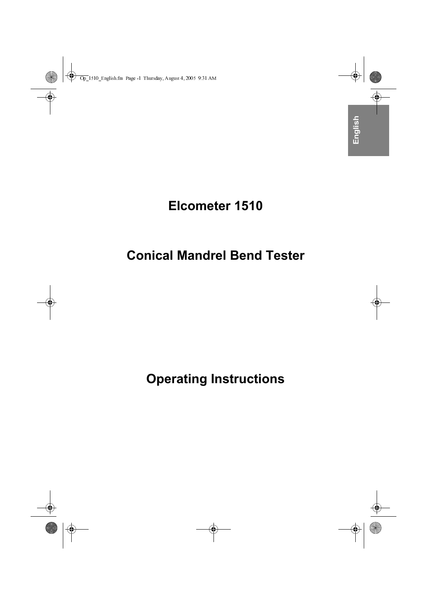## **Elcometer 1510**

## **Conical Mandrel Bend Tester**

# **Operating Instructions**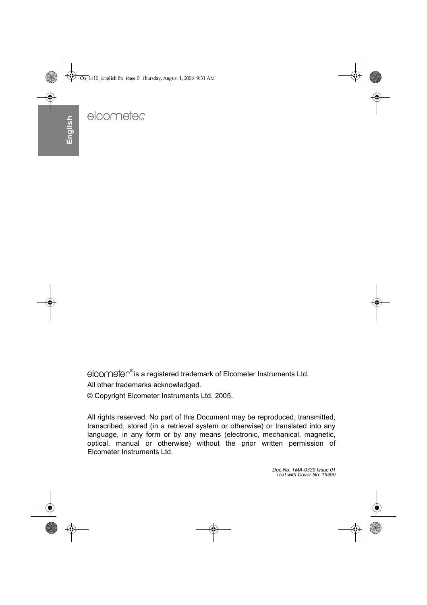elcometen® is a registered trademark of Elcometer Instruments Ltd. All other trademarks acknowledged.

© Copyright Elcometer Instruments Ltd. 2005.

All rights reserved. No part of this Document may be reproduced, transmitted, transcribed, stored (in a retrieval system or otherwise) or translated into any language, in any form or by any means (electronic, mechanical, magnetic, optical, manual or otherwise) without the prior written permission of Elcometer Instruments Ltd.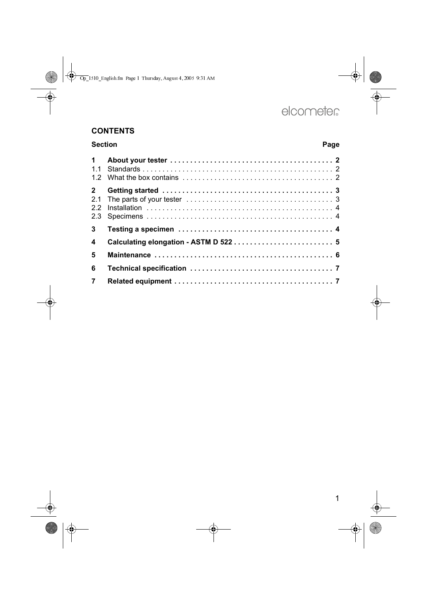#### **CONTENTS**

| <b>Section</b>          |  | Page |  |
|-------------------------|--|------|--|
| $\mathbf 1$             |  |      |  |
| $\mathbf{2}$            |  |      |  |
| $\overline{\mathbf{3}}$ |  |      |  |
| 4                       |  |      |  |
| 5                       |  |      |  |
| 6                       |  |      |  |
| $\overline{7}$          |  |      |  |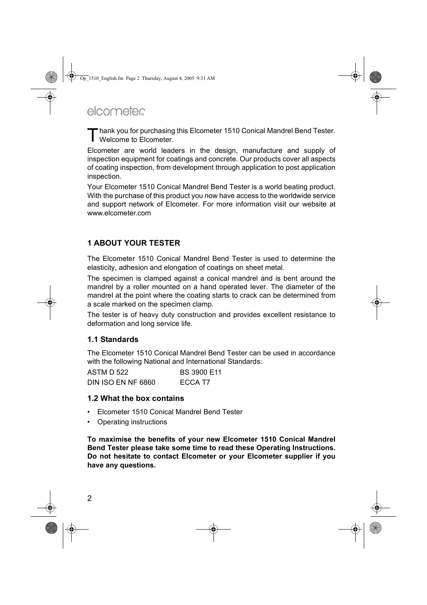Thank you for purchasing this Elcometer 1510 Conical Mandrel Bend Tester.<br>
Welcome to Elcometer. Welcome to Elcometer.

Elcometer are world leaders in the design, manufacture and supply of inspection equipment for coatings and concrete. Our products cover all aspects of coating inspection, from development through application to post application inspection.

Your Elcometer 1510 Conical Mandrel Bend Tester is a world beating product. With the purchase of this product you now have access to the worldwide service and support network of Elcometer. For more information visit our website at [www.elcometer.com](http://www.elcometer.com)

#### <span id="page-3-0"></span>**1 ABOUT YOUR TESTER**

The Elcometer 1510 Conical Mandrel Bend Tester is used to determine the elasticity, adhesion and elongation of coatings on sheet metal.

The specimen is clamped against a conical mandrel and is bent around the mandrel by a roller mounted on a hand operated lever. The diameter of the mandrel at the point where the coating starts to crack can be determined from a scale marked on the specimen clamp.

The tester is of heavy duty construction and provides excellent resistance to deformation and long service life.

#### <span id="page-3-1"></span>**1.1 Standards**

The Elcometer 1510 Conical Mandrel Bend Tester can be used in accordance with the following National and International Standards:

ASTM D 522 BS 3900 E11 DIN ISO EN NF 6860 ECCA T7

#### <span id="page-3-2"></span>**1.2 What the box contains**

- Elcometer 1510 Conical Mandrel Bend Tester
- Operating instructions

**To maximise the benefits of your new Elcometer 1510 Conical Mandrel Bend Tester please take some time to read these Operating Instructions. Do not hesitate to contact Elcometer or your Elcometer supplier if you have any questions.**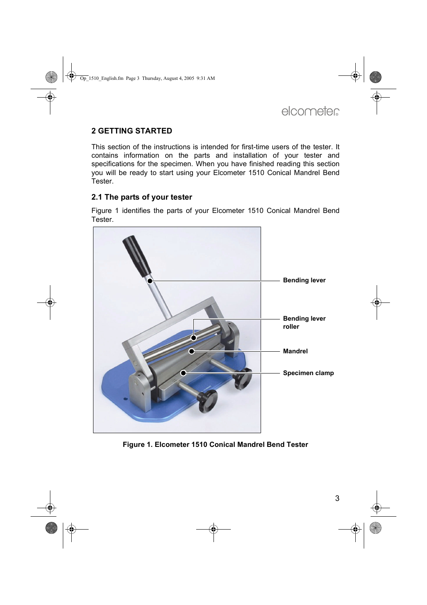#### <span id="page-4-0"></span>**2 GETTING STARTED**

This section of the instructions is intended for first-time users of the tester. It contains information on the parts and installation of your tester and specifications for the specimen. When you have finished reading this section you will be ready to start using your Elcometer 1510 Conical Mandrel Bend **Tester** 

#### <span id="page-4-1"></span>**2.1 The parts of your tester**

[Figure 1](#page-4-2) identifies the parts of your Elcometer 1510 Conical Mandrel Bend **Tester** 

<span id="page-4-2"></span>

**Figure 1. Elcometer 1510 Conical Mandrel Bend Tester**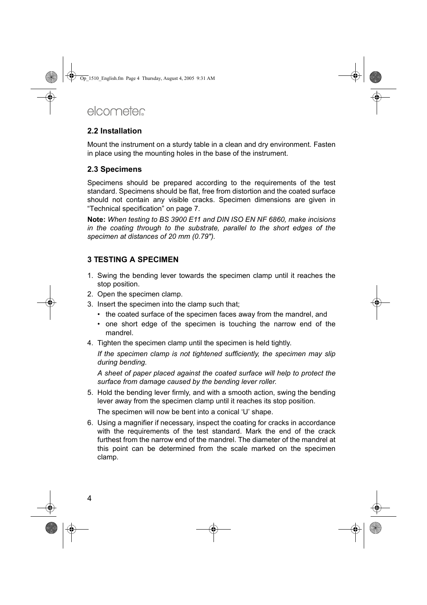#### <span id="page-5-0"></span>**2.2 Installation**

Mount the instrument on a sturdy table in a clean and dry environment. Fasten in place using the mounting holes in the base of the instrument.

#### <span id="page-5-1"></span>**2.3 Specimens**

Specimens should be prepared according to the requirements of the test standard. Specimens should be flat, free from distortion and the coated surface should not contain any visible cracks. Specimen dimensions are given in ["Technical specification" on page 7](#page-8-0).

**Note:** *When testing to BS 3900 E11 and DIN ISO EN NF 6860, make incisions in the coating through to the substrate, parallel to the short edges of the specimen at distances of 20 mm (0.79").*

#### <span id="page-5-2"></span>**3 TESTING A SPECIMEN**

- 1. Swing the bending lever towards the specimen clamp until it reaches the stop position.
- 2. Open the specimen clamp.
- 3. Insert the specimen into the clamp such that;
	- the coated surface of the specimen faces away from the mandrel, and
	- one short edge of the specimen is touching the narrow end of the mandrel.
- 4. Tighten the specimen clamp until the specimen is held tightly.

*If the specimen clamp is not tightened sufficiently, the specimen may slip during bending.*

*A sheet of paper placed against the coated surface will help to protect the surface from damage caused by the bending lever roller.*

5. Hold the bending lever firmly, and with a smooth action, swing the bending lever away from the specimen clamp until it reaches its stop position.

The specimen will now be bent into a conical 'U' shape.

6. Using a magnifier if necessary, inspect the coating for cracks in accordance with the requirements of the test standard. Mark the end of the crack furthest from the narrow end of the mandrel. The diameter of the mandrel at this point can be determined from the scale marked on the specimen clamp.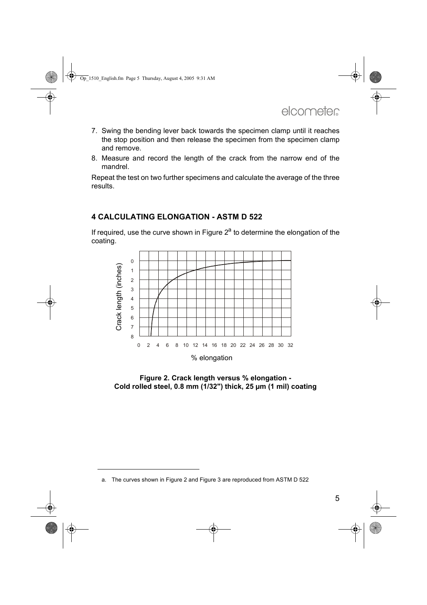- 7. Swing the bending lever back towards the specimen clamp until it reaches the stop position and then release the specimen from the specimen clamp and remove.
- 8. Measure and record the length of the crack from the narrow end of the mandrel.

Repeat the test on two further specimens and calculate the average of the three results.

#### <span id="page-6-0"></span>**4 CALCULATING ELONGATION - ASTM D 522**

If required, use the curve shown in Figure  $2<sup>a</sup>$  to determine the elongation of the coating.



<span id="page-6-1"></span>**Figure 2. Crack length versus % elongation - Cold rolled steel, 0.8 mm (1/32") thick, 25 µm (1 mil) coating**

a. The curves shown in [Figure 2](#page-6-1) and [Figure 3](#page-7-1) are reproduced from ASTM D 522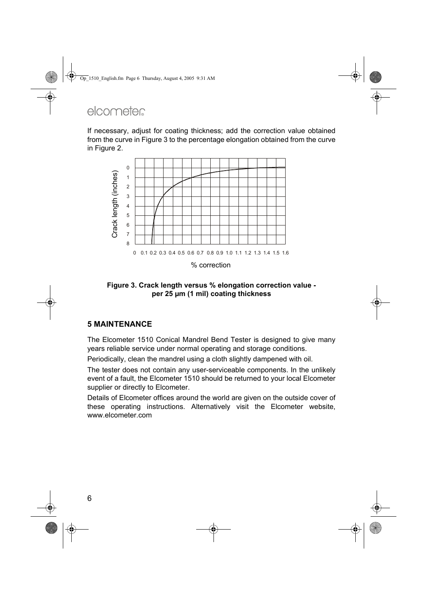If necessary, adjust for coating thickness; add the correction value obtained from the curve in [Figure 3](#page-7-1) to the percentage elongation obtained from the curve in [Figure 2.](#page-6-1)



<span id="page-7-1"></span>**Figure 3. Crack length versus % elongation correction value per 25 µm (1 mil) coating thickness**

#### <span id="page-7-0"></span>**5 MAINTENANCE**

The Elcometer 1510 Conical Mandrel Bend Tester is designed to give many years reliable service under normal operating and storage conditions.

Periodically, clean the mandrel using a cloth slightly dampened with oil.

The tester does not contain any user-serviceable components. In the unlikely event of a fault, the Elcometer 1510 should be returned to your local Elcometer supplier or directly to Elcometer.

Details of Elcometer offices around the world are given on the outside cover of these operating instructions. Alternatively visit the Elcometer website, [www.elcometer.com](http://www.elcometer.com)